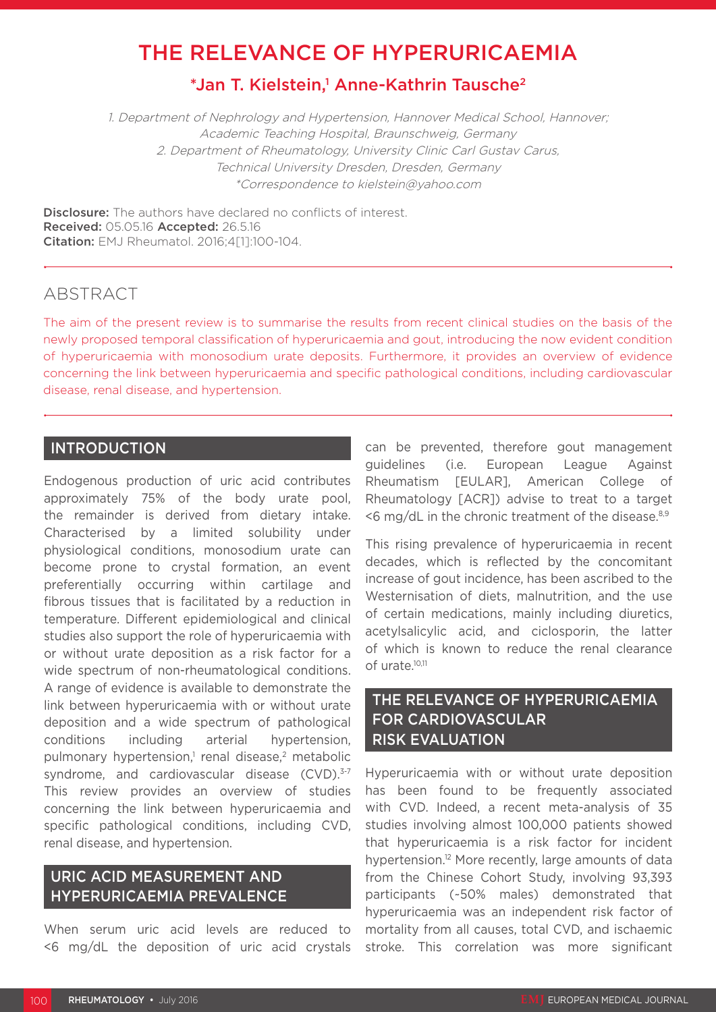# THE RELEVANCE OF HYPERURICAEMIA

## \*Jan T. Kielstein,<sup>1</sup> Anne-Kathrin Tausche<sup>2</sup>

1. Department of Nephrology and Hypertension, Hannover Medical School, Hannover; Academic Teaching Hospital, Braunschweig, Germany 2. Department of Rheumatology, University Clinic Carl Gustav Carus, Technical University Dresden, Dresden, Germany \*Correspondence to kielstein@yahoo.com

**Disclosure:** The authors have declared no conflicts of interest. Received: 05.05.16 Accepted: 26.5.16 Citation: EMJ Rheumatol. 2016;4[1]:100-104.

#### ABSTRACT

The aim of the present review is to summarise the results from recent clinical studies on the basis of the newly proposed temporal classification of hyperuricaemia and gout, introducing the now evident condition of hyperuricaemia with monosodium urate deposits. Furthermore, it provides an overview of evidence concerning the link between hyperuricaemia and specific pathological conditions, including cardiovascular disease, renal disease, and hypertension.

### INTRODUCTION

Endogenous production of uric acid contributes approximately 75% of the body urate pool, the remainder is derived from dietary intake. Characterised by a limited solubility under physiological conditions, monosodium urate can become prone to crystal formation, an event preferentially occurring within cartilage and fibrous tissues that is facilitated by a reduction in temperature. Different epidemiological and clinical studies also support the role of hyperuricaemia with or without urate deposition as a risk factor for a wide spectrum of non-rheumatological conditions. A range of evidence is available to demonstrate the link between hyperuricaemia with or without urate deposition and a wide spectrum of pathological conditions including arterial hypertension, pulmonary hypertension,<sup>1</sup> renal disease,<sup>2</sup> metabolic syndrome, and cardiovascular disease (CVD).<sup>3-7</sup> This review provides an overview of studies concerning the link between hyperuricaemia and specific pathological conditions, including CVD, renal disease, and hypertension.

### URIC ACID MEASUREMENT AND HYPERURICAEMIA PREVALENCE

When serum uric acid levels are reduced to <6 mg/dL the deposition of uric acid crystals can be prevented, therefore gout management guidelines (i.e. European League Against Rheumatism [EULAR], American College of Rheumatology [ACR]) advise to treat to a target  $\leq$ 6 mg/dL in the chronic treatment of the disease.<sup>8,9</sup>

This rising prevalence of hyperuricaemia in recent decades, which is reflected by the concomitant increase of gout incidence, has been ascribed to the Westernisation of diets, malnutrition, and the use of certain medications, mainly including diuretics, acetylsalicylic acid, and ciclosporin, the latter of which is known to reduce the renal clearance of urate.10,11

### THE RELEVANCE OF HYPERURICAEMIA FOR CARDIOVASCULAR RISK EVALUATION

Hyperuricaemia with or without urate deposition has been found to be frequently associated with CVD. Indeed, a recent meta-analysis of 35 studies involving almost 100,000 patients showed that hyperuricaemia is a risk factor for incident hypertension.<sup>12</sup> More recently, large amounts of data from the Chinese Cohort Study, involving 93,393 participants (~50% males) demonstrated that hyperuricaemia was an independent risk factor of mortality from all causes, total CVD, and ischaemic stroke. This correlation was more significant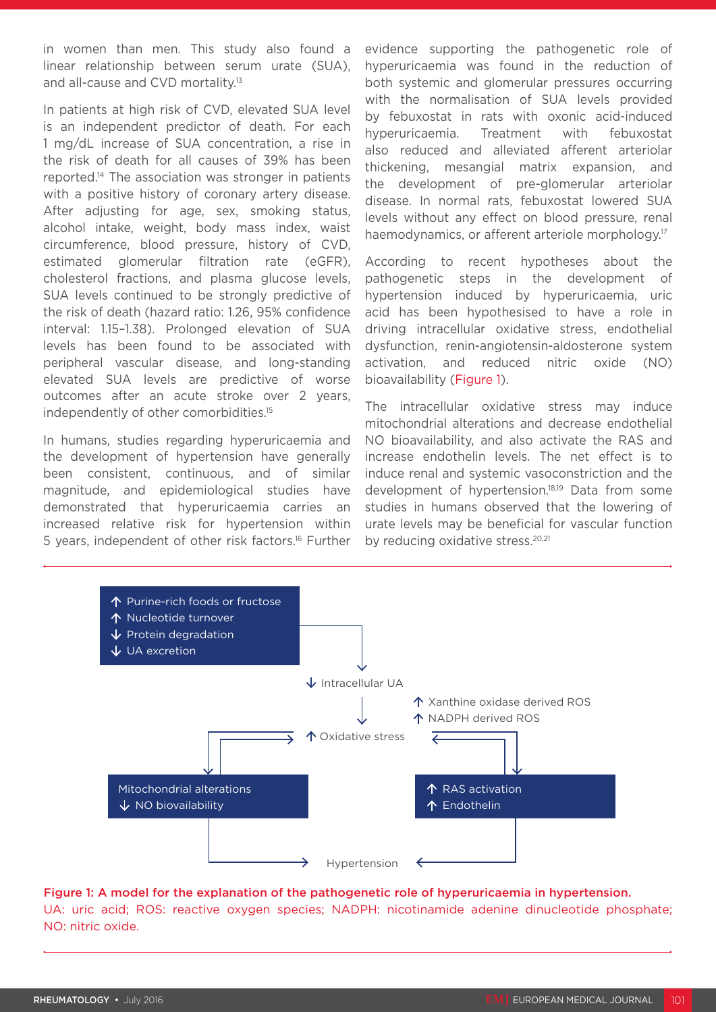in women than men. This study also found a linear relationship between serum urate (SUA), and all-cause and CVD mortality.<sup>13</sup>

In patients at high risk of CVD, elevated SUA level is an independent predictor of death. For each 1 mg/dL increase of SUA concentration, a rise in the risk of death for all causes of 39% has been reported.14 The association was stronger in patients with a positive history of coronary artery disease. After adjusting for age, sex, smoking status, alcohol intake, weight, body mass index, waist circumference, blood pressure, history of CVD, estimated glomerular filtration rate (eGFR), cholesterol fractions, and plasma glucose levels, SUA levels continued to be strongly predictive of the risk of death (hazard ratio: 1.26, 95% confidence interval: 1.15–1.38). Prolonged elevation of SUA levels has been found to be associated with peripheral vascular disease, and long-standing elevated SUA levels are predictive of worse outcomes after an acute stroke over 2 years, independently of other comorbidities.15

In humans, studies regarding hyperuricaemia and the development of hypertension have generally been consistent, continuous, and of similar magnitude, and epidemiological studies have demonstrated that hyperuricaemia carries an increased relative risk for hypertension within 5 years, independent of other risk factors.16 Further evidence supporting the pathogenetic role of hyperuricaemia was found in the reduction of both systemic and glomerular pressures occurring with the normalisation of SUA levels provided by febuxostat in rats with oxonic acid-induced hyperuricaemia. Treatment with febuxostat also reduced and alleviated afferent arteriolar thickening, mesangial matrix expansion, and the development of pre-glomerular arteriolar disease. In normal rats, febuxostat lowered SUA levels without any effect on blood pressure, renal haemodynamics, or afferent arteriole morphology.<sup>17</sup>

According to recent hypotheses about the pathogenetic steps in the development of hypertension induced by hyperuricaemia, uric acid has been hypothesised to have a role in driving intracellular oxidative stress, endothelial dysfunction, renin-angiotensin-aldosterone system activation, and reduced nitric oxide (NO) bioavailability (Figure 1).

The intracellular oxidative stress may induce mitochondrial alterations and decrease endothelial NO bioavailability, and also activate the RAS and increase endothelin levels. The net effect is to induce renal and systemic vasoconstriction and the development of hypertension.18,19 Data from some studies in humans observed that the lowering of urate levels may be beneficial for vascular function by reducing oxidative stress.<sup>20,21</sup>



## Figure 1: A model for the explanation of the pathogenetic role of hyperuricaemia in hypertension.

UA: uric acid; ROS: reactive oxygen species; NADPH: nicotinamide adenine dinucleotide phosphate; NO: nitric oxide.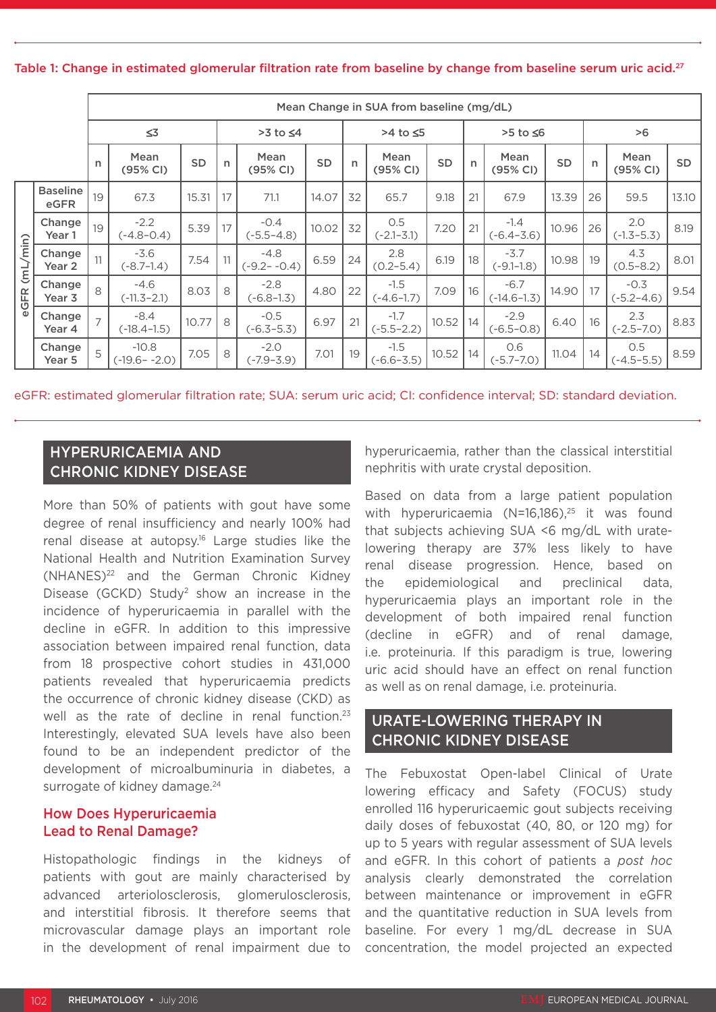Table 1: Change in estimated glomerular filtration rate from baseline by change from baseline serum uric acid.<sup>27</sup>

|                  |                             | Mean Change in SUA from baseline (mg/dL) |                             |           |                  |                           |           |              |                          |           |          |                           |           |              |                          |           |
|------------------|-----------------------------|------------------------------------------|-----------------------------|-----------|------------------|---------------------------|-----------|--------------|--------------------------|-----------|----------|---------------------------|-----------|--------------|--------------------------|-----------|
|                  |                             | $\leq 3$                                 |                             |           | $>3$ to $\leq 4$ |                           |           | >4 to ≤5     |                          |           | >5 to ≤6 |                           |           | >6           |                          |           |
|                  |                             | n                                        | Mean<br>(95% CI)            | <b>SD</b> | $\mathsf{n}$     | Mean<br>(95% CI)          | <b>SD</b> | $\mathsf{n}$ | Mean<br>(95% CI)         | <b>SD</b> | n        | Mean<br>(95% CI)          | <b>SD</b> | $\mathsf{n}$ | Mean<br>(95% CI)         | <b>SD</b> |
| (mL/min)<br>eGFR | <b>Baseline</b><br>eGFR     | 19                                       | 67.3                        | 15.31     | 17               | 71.1                      | 14.07     | 32           | 65.7                     | 9.18      | 21       | 67.9                      | 13.39     | 26           | 59.5                     | 13.10     |
|                  | Change<br>Year 1            | 19                                       | $-2.2$<br>$(-4.8 - 0.4)$    | 5.39      | 17               | $-0.4$<br>$(-5.5 - 4.8)$  | 10.02     | 32           | 0.5<br>$(-2.1 - 3.1)$    | 7.20      | 21       | $-1.4$<br>$(-6.4 - 3.6)$  | 10.96     | 26           | 2.0<br>$(-1.3 - 5.3)$    | 8.19      |
|                  | Change<br>Year <sub>2</sub> | 11                                       | $-3.6$<br>$(-8.7 - 1.4)$    | 7.54      | 11               | $-4.8$<br>$(-9.2 - -0.4)$ | 6.59      | 24           | 2.8<br>$(0.2 - 5.4)$     | 6.19      | 18       | $-3.7$<br>$(-9.1 - 1.8)$  | 10.98     | 19           | 4.3<br>$(0.5 - 8.2)$     | 8.01      |
|                  | Change<br>Year <sub>3</sub> | 8                                        | $-4.6$<br>$(-11.3 - 2.1)$   | 8.03      | 8                | $-2.8$<br>$(-6.8 - 1.3)$  | 4.80      | 22           | $-1.5$<br>$(-4.6-1.7)$   | 7.09      | 16       | $-6.7$<br>$(-14.6 - 1.3)$ | 14.90     | 17           | $-0.3$<br>$(-5.2 - 4.6)$ | 9.54      |
|                  | Change<br>Year 4            | $\overline{7}$                           | $-8.4$<br>$(-18.4 - 1.5)$   | 10.77     | 8                | $-0.5$<br>$(-6.3 - 5.3)$  | 6.97      | 21           | $-1.7$<br>$(-5.5 - 2.2)$ | 10.52     | 14       | $-2.9$<br>$(-6.5 - 0.8)$  | 6.40      | 16           | 2.3<br>$(-2.5 - 7.0)$    | 8.83      |
|                  | Change<br>Year 5            | 5                                        | $-10.8$<br>$(-19.6 - -2.0)$ | 7.05      | 8                | $-2.0$<br>$(-7.9 - 3.9)$  | 7.01      | 19           | $-1.5$<br>$(-6.6 - 3.5)$ | 10.52     | 14       | 0.6<br>$(-5.7 - 7.0)$     | 11.04     | 14           | 0.5<br>$(-4.5 - 5.5)$    | 8.59      |

eGFR: estimated glomerular filtration rate; SUA: serum uric acid; CI: confidence interval; SD: standard deviation.

### HYPERURICAEMIA AND CHRONIC KIDNEY DISEASE

More than 50% of patients with gout have some degree of renal insufficiency and nearly 100% had renal disease at autopsy.<sup>16</sup> Large studies like the National Health and Nutrition Examination Survey (NHANES)<sup>22</sup> and the German Chronic Kidney Disease (GCKD) Study2 show an increase in the incidence of hyperuricaemia in parallel with the decline in eGFR. In addition to this impressive association between impaired renal function, data from 18 prospective cohort studies in 431,000 patients revealed that hyperuricaemia predicts the occurrence of chronic kidney disease (CKD) as well as the rate of decline in renal function.<sup>23</sup> Interestingly, elevated SUA levels have also been found to be an independent predictor of the development of microalbuminuria in diabetes, a surrogate of kidney damage.<sup>24</sup>

#### How Does Hyperuricaemia Lead to Renal Damage?

Histopathologic findings in the kidneys of patients with gout are mainly characterised by advanced arteriolosclerosis, glomerulosclerosis, and interstitial fibrosis. It therefore seems that microvascular damage plays an important role in the development of renal impairment due to

hyperuricaemia, rather than the classical interstitial nephritis with urate crystal deposition.

Based on data from a large patient population with hyperuricaemia (N=16,186), $25$  it was found that subjects achieving SUA <6 mg/dL with uratelowering therapy are 37% less likely to have renal disease progression. Hence, based on the epidemiological and preclinical data, hyperuricaemia plays an important role in the development of both impaired renal function (decline in eGFR) and of renal damage, i.e. proteinuria. If this paradigm is true, lowering uric acid should have an effect on renal function as well as on renal damage, i.e. proteinuria.

### URATE-LOWERING THERAPY IN CHRONIC KIDNEY DISEASE

The Febuxostat Open-label Clinical of Urate lowering efficacy and Safety (FOCUS) study enrolled 116 hyperuricaemic gout subjects receiving daily doses of febuxostat (40, 80, or 120 mg) for up to 5 years with regular assessment of SUA levels and eGFR. In this cohort of patients a *post hoc* analysis clearly demonstrated the correlation between maintenance or improvement in eGFR and the quantitative reduction in SUA levels from baseline. For every 1 mg/dL decrease in SUA concentration, the model projected an expected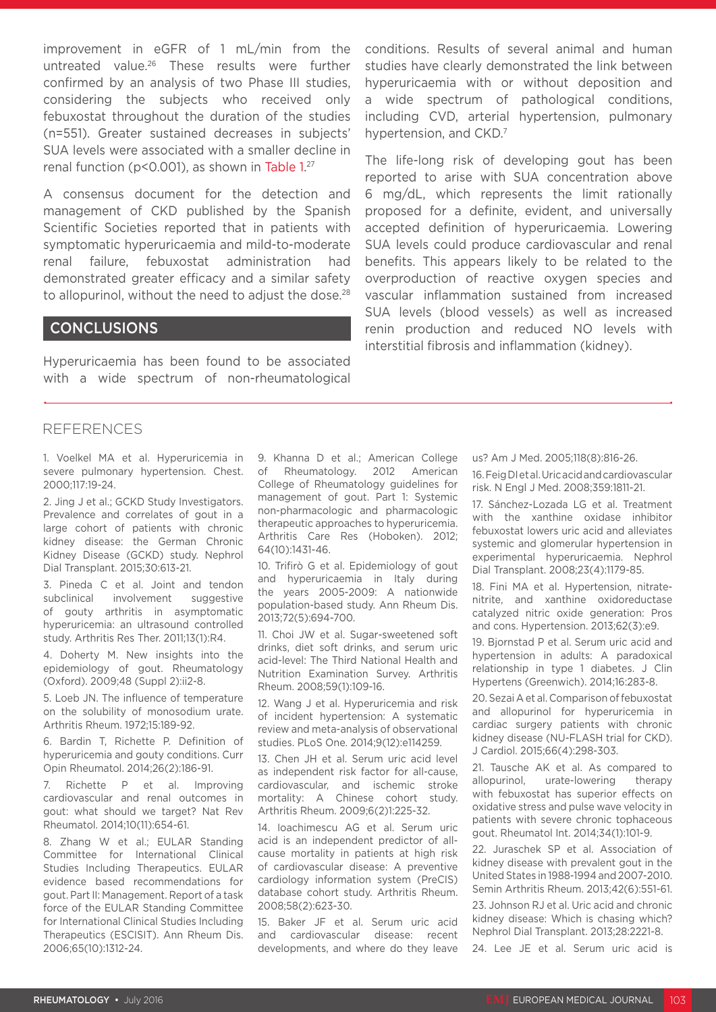improvement in eGFR of 1 mL/min from the untreated value.26 These results were further confirmed by an analysis of two Phase III studies, considering the subjects who received only febuxostat throughout the duration of the studies (n=551). Greater sustained decreases in subjects' SUA levels were associated with a smaller decline in renal function (p<0.001), as shown in Table 1. 27

A consensus document for the detection and management of CKD published by the Spanish Scientific Societies reported that in patients with symptomatic hyperuricaemia and mild-to-moderate renal failure, febuxostat administration had demonstrated greater efficacy and a similar safety to allopurinol, without the need to adjust the dose.<sup>28</sup>

#### **CONCLUSIONS**

Hyperuricaemia has been found to be associated with a wide spectrum of non-rheumatological conditions. Results of several animal and human studies have clearly demonstrated the link between hyperuricaemia with or without deposition and a wide spectrum of pathological conditions, including CVD, arterial hypertension, pulmonary hypertension, and CKD.<sup>7</sup>

The life-long risk of developing gout has been reported to arise with SUA concentration above 6 mg/dL, which represents the limit rationally proposed for a definite, evident, and universally accepted definition of hyperuricaemia. Lowering SUA levels could produce cardiovascular and renal benefits. This appears likely to be related to the overproduction of reactive oxygen species and vascular inflammation sustained from increased SUA levels (blood vessels) as well as increased renin production and reduced NO levels with interstitial fibrosis and inflammation (kidney).

#### REFERENCES

1. Voelkel MA et al. Hyperuricemia in severe pulmonary hypertension. Chest. 2000;117:19-24.

2. Jing J et al.; GCKD Study Investigators. Prevalence and correlates of gout in a large cohort of patients with chronic kidney disease: the German Chronic Kidney Disease (GCKD) study. Nephrol Dial Transplant. 2015;30:613-21.

3. Pineda C et al. Joint and tendon subclinical involvement suggestive of gouty arthritis in asymptomatic hyperuricemia: an ultrasound controlled study. Arthritis Res Ther. 2011;13(1):R4.

4. Doherty M. New insights into the epidemiology of gout. Rheumatology (Oxford). 2009;48 (Suppl 2):ii2-8.

5. Loeb JN. The influence of temperature on the solubility of monosodium urate. Arthritis Rheum. 1972;15:189-92.

6. Bardin T, Richette P. Definition of hyperuricemia and gouty conditions. Curr Opin Rheumatol. 2014;26(2):186-91.

7. Richette P et al. Improving cardiovascular and renal outcomes in gout: what should we target? Nat Rev Rheumatol. 2014;10(11):654-61.

8. Zhang W et al.; EULAR Standing Committee for International Clinical Studies Including Therapeutics. EULAR evidence based recommendations for gout. Part II: Management. Report of a task force of the EULAR Standing Committee for International Clinical Studies Including Therapeutics (ESCISIT). Ann Rheum Dis. 2006;65(10):1312-24.

9. Khanna D et al.; American College of Rheumatology. 2012 American College of Rheumatology guidelines for management of gout. Part 1: Systemic non-pharmacologic and pharmacologic therapeutic approaches to hyperuricemia. Arthritis Care Res (Hoboken). 2012; 64(10):1431-46.

10. Trifirò G et al. Epidemiology of gout and hyperuricaemia in Italy during the years 2005-2009: A nationwide population-based study. Ann Rheum Dis. 2013;72(5):694-700.

11. Choi JW et al. Sugar-sweetened soft drinks, diet soft drinks, and serum uric acid-level: The Third National Health and Nutrition Examination Survey. Arthritis Rheum. 2008;59(1):109-16.

12. Wang J et al. Hyperuricemia and risk of incident hypertension: A systematic review and meta-analysis of observational studies. PLoS One. 2014;9(12):e114259.

13. Chen JH et al. Serum uric acid level as independent risk factor for all-cause, cardiovascular, and ischemic stroke mortality: A Chinese cohort study. Arthritis Rheum. 2009;6(2)1:225-32.

14. Ioachimescu AG et al. Serum uric acid is an independent predictor of allcause mortality in patients at high risk of cardiovascular disease: A preventive cardiology information system (PreCIS) database cohort study. Arthritis Rheum. 2008;58(2):623-30.

15. Baker JF et al. Serum uric acid and cardiovascular disease: recent developments, and where do they leave us? Am J Med. 2005;118(8):816-26.

16. Feig DI et al. Uric acid and cardiovascular risk. N Engl J Med. 2008;359:1811-21.

17. Sánchez-Lozada LG et al. Treatment with the xanthine oxidase inhibitor febuxostat lowers uric acid and alleviates systemic and glomerular hypertension in experimental hyperuricaemia. Nephrol Dial Transplant. 2008;23(4):1179-85.

18. Fini MA et al. Hypertension, nitratenitrite, and xanthine oxidoreductase catalyzed nitric oxide generation: Pros and cons. Hypertension. 2013;62(3):e9.

19. Bjornstad P et al. Serum uric acid and hypertension in adults: A paradoxical relationship in type 1 diabetes. J Clin Hypertens (Greenwich). 2014;16:283-8.

20. Sezai A et al. Comparison of febuxostat and allopurinol for hyperuricemia in cardiac surgery patients with chronic kidney disease (NU-FLASH trial for CKD). J Cardiol. 2015;66(4):298-303.

21. Tausche AK et al. As compared to allopurinol, urate-lowering therapy with febuxostat has superior effects on oxidative stress and pulse wave velocity in patients with severe chronic tophaceous gout. Rheumatol Int. 2014;34(1):101-9.

22. Juraschek SP et al. Association of kidney disease with prevalent gout in the United States in 1988-1994 and 2007-2010. Semin Arthritis Rheum. 2013;42(6):551-61.

23. Johnson RJ et al. Uric acid and chronic kidney disease: Which is chasing which? Nephrol Dial Transplant. 2013;28:2221-8.

24. Lee JE et al. Serum uric acid is